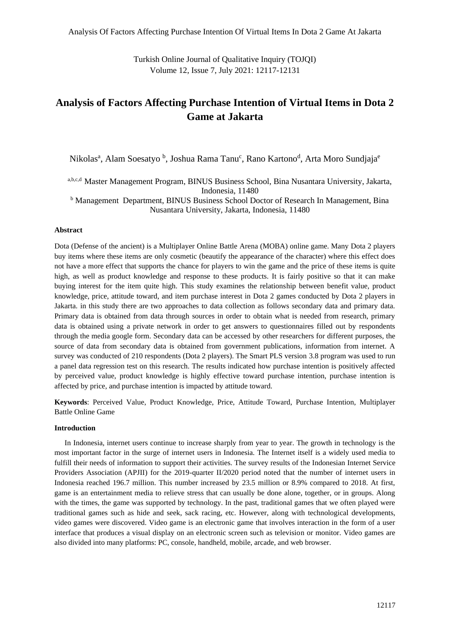Turkish Online Journal of Qualitative Inquiry (TOJQI) Volume 12, Issue 7, July 2021: 12117-12131

# **Analysis of Factors Affecting Purchase Intention of Virtual Items in Dota 2 Game at Jakarta**

Nikolas<sup>a</sup>, Alam Soesatyo <sup>b</sup>, Joshua Rama Tanu<sup>c</sup>, Rano Kartono<sup>d</sup>, Arta Moro Sundjaja<sup>e</sup>

a,b,c,d Master Management Program, BINUS Business School, Bina Nusantara University, Jakarta, Indonesia, 11480

<sup>b</sup> Management Department, BINUS Business School Doctor of Research In Management, Bina Nusantara University, Jakarta, Indonesia, 11480

## **Abstract**

Dota (Defense of the ancient) is a Multiplayer Online Battle Arena (MOBA) online game. Many Dota 2 players buy items where these items are only cosmetic (beautify the appearance of the character) where this effect does not have a more effect that supports the chance for players to win the game and the price of these items is quite high, as well as product knowledge and response to these products. It is fairly positive so that it can make buying interest for the item quite high. This study examines the relationship between benefit value, product knowledge, price, attitude toward, and item purchase interest in Dota 2 games conducted by Dota 2 players in Jakarta. in this study there are two approaches to data collection as follows secondary data and primary data. Primary data is obtained from data through sources in order to obtain what is needed from research, primary data is obtained using a private network in order to get answers to questionnaires filled out by respondents through the media google form. Secondary data can be accessed by other researchers for different purposes, the source of data from secondary data is obtained from government publications, information from internet. A survey was conducted of 210 respondents (Dota 2 players). The Smart PLS version 3.8 program was used to run a panel data regression test on this research. The results indicated how purchase intention is positively affected by perceived value, product knowledge is highly effective toward purchase intention, purchase intention is affected by price, and purchase intention is impacted by attitude toward.

**Keywords**: Perceived Value, Product Knowledge, Price, Attitude Toward, Purchase Intention, Multiplayer Battle Online Game

## **Introduction**

In Indonesia, internet users continue to increase sharply from year to year. The growth in technology is the most important factor in the surge of internet users in Indonesia. The Internet itself is a widely used media to fulfill their needs of information to support their activities. The survey results of the Indonesian Internet Service Providers Association (APJII) for the 2019-quarter II/2020 period noted that the number of internet users in Indonesia reached 196.7 million. This number increased by 23.5 million or 8.9% compared to 2018. At first, game is an entertainment media to relieve stress that can usually be done alone, together, or in groups. Along with the times, the game was supported by technology. In the past, traditional games that we often played were traditional games such as hide and seek, sack racing, etc. However, along with technological developments, video games were discovered. Video game is an electronic game that involves interaction in the form of a user interface that produces a visual display on an electronic screen such as television or monitor. Video games are also divided into many platforms: PC, console, handheld, mobile, arcade, and web browser.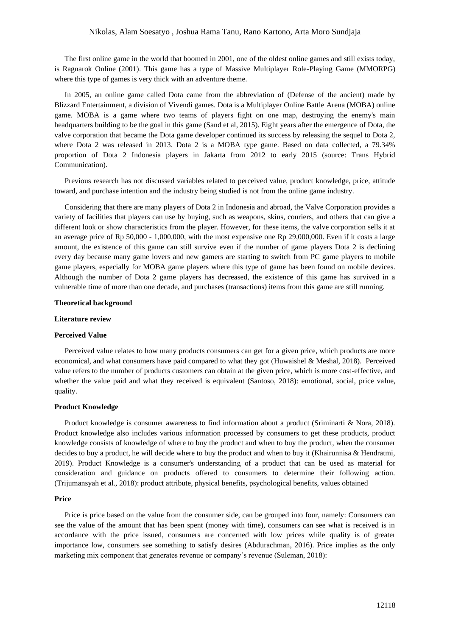The first online game in the world that boomed in 2001, one of the oldest online games and still exists today, is Ragnarok Online (2001). This game has a type of Massive Multiplayer Role-Playing Game (MMORPG) where this type of games is very thick with an adventure theme.

In 2005, an online game called Dota came from the abbreviation of (Defense of the ancient) made by Blizzard Entertainment, a division of Vivendi games. Dota is a Multiplayer Online Battle Arena (MOBA) online game. MOBA is a game where two teams of players fight on one map, destroying the enemy's main headquarters building to be the goal in this game (Sand et al, 2015). Eight years after the emergence of Dota, the valve corporation that became the Dota game developer continued its success by releasing the sequel to Dota 2, where Dota 2 was released in 2013. Dota 2 is a MOBA type game. Based on data collected, a 79.34% proportion of Dota 2 Indonesia players in Jakarta from 2012 to early 2015 (source: Trans Hybrid Communication).

Previous research has not discussed variables related to perceived value, product knowledge, price, attitude toward, and purchase intention and the industry being studied is not from the online game industry.

Considering that there are many players of Dota 2 in Indonesia and abroad, the Valve Corporation provides a variety of facilities that players can use by buying, such as weapons, skins, couriers, and others that can give a different look or show characteristics from the player. However, for these items, the valve corporation sells it at an average price of Rp 50,000 - 1,000,000, with the most expensive one Rp 29,000,000. Even if it costs a large amount, the existence of this game can still survive even if the number of game players Dota 2 is declining every day because many game lovers and new gamers are starting to switch from PC game players to mobile game players, especially for MOBA game players where this type of game has been found on mobile devices. Although the number of Dota 2 game players has decreased, the existence of this game has survived in a vulnerable time of more than one decade, and purchases (transactions) items from this game are still running.

## **Theoretical background**

#### **Literature review**

#### **Perceived Value**

Perceived value relates to how many products consumers can get for a given price, which products are more economical, and what consumers have paid compared to what they got (Huwaishel & Meshal, 2018). Perceived value refers to the number of products customers can obtain at the given price, which is more cost-effective, and whether the value paid and what they received is equivalent (Santoso, 2018): emotional, social, price value, quality.

## **Product Knowledge**

Product knowledge is consumer awareness to find information about a product (Sriminarti & Nora, 2018). Product knowledge also includes various information processed by consumers to get these products, product knowledge consists of knowledge of where to buy the product and when to buy the product, when the consumer decides to buy a product, he will decide where to buy the product and when to buy it (Khairunnisa & Hendratmi, 2019). Product Knowledge is a consumer's understanding of a product that can be used as material for consideration and guidance on products offered to consumers to determine their following action. (Trijumansyah et al., 2018): product attribute, physical benefits, psychological benefits, values obtained

#### **Price**

Price is price based on the value from the consumer side, can be grouped into four, namely: Consumers can see the value of the amount that has been spent (money with time), consumers can see what is received is in accordance with the price issued, consumers are concerned with low prices while quality is of greater importance low, consumers see something to satisfy desires (Abdurachman, 2016). Price implies as the only marketing mix component that generates revenue or company's revenue (Suleman, 2018):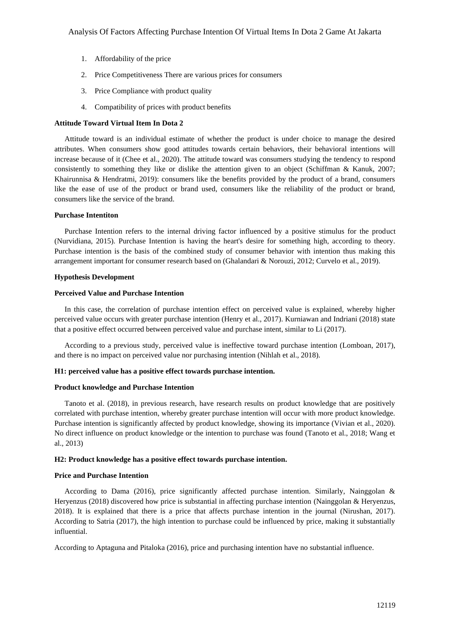- 1. Affordability of the price
- 2. Price Competitiveness There are various prices for consumers
- 3. Price Compliance with product quality
- 4. Compatibility of prices with product benefits

## **Attitude Toward Virtual Item In Dota 2**

Attitude toward is an individual estimate of whether the product is under choice to manage the desired attributes. When consumers show good attitudes towards certain behaviors, their behavioral intentions will increase because of it (Chee et al., 2020). The attitude toward was consumers studying the tendency to respond consistently to something they like or dislike the attention given to an object (Schiffman & Kanuk, 2007; Khairunnisa & Hendratmi, 2019): consumers like the benefits provided by the product of a brand, consumers like the ease of use of the product or brand used, consumers like the reliability of the product or brand, consumers like the service of the brand.

## **Purchase Intentiton**

Purchase Intention refers to the internal driving factor influenced by a positive stimulus for the product (Nurvidiana, 2015). Purchase Intention is having the heart's desire for something high, according to theory. Purchase intention is the basis of the combined study of consumer behavior with intention thus making this arrangement important for consumer research based on (Ghalandari & Norouzi, 2012; Curvelo et al., 2019).

## **Hypothesis Development**

## **Perceived Value and Purchase Intention**

In this case, the correlation of purchase intention effect on perceived value is explained, whereby higher perceived value occurs with greater purchase intention (Henry et al., 2017). Kurniawan and Indriani (2018) state that a positive effect occurred between perceived value and purchase intent, similar to Li (2017).

According to a previous study, perceived value is ineffective toward purchase intention (Lomboan, 2017), and there is no impact on perceived value nor purchasing intention (Nihlah et al., 2018).

## **H1: perceived value has a positive effect towards purchase intention.**

## **Product knowledge and Purchase Intention**

Tanoto et al. (2018), in previous research, have research results on product knowledge that are positively correlated with purchase intention, whereby greater purchase intention will occur with more product knowledge. Purchase intention is significantly affected by product knowledge, showing its importance (Vivian et al., 2020). No direct influence on product knowledge or the intention to purchase was found (Tanoto et al., 2018; Wang et al., 2013)

#### **H2: Product knowledge has a positive effect towards purchase intention.**

## **Price and Purchase Intention**

According to Dama (2016), price significantly affected purchase intention. Similarly, Nainggolan & Heryenzus (2018) discovered how price is substantial in affecting purchase intention (Nainggolan & Heryenzus, 2018). It is explained that there is a price that affects purchase intention in the journal (Nirushan, 2017). According to Satria (2017), the high intention to purchase could be influenced by price, making it substantially influential.

According to Aptaguna and Pitaloka (2016), price and purchasing intention have no substantial influence.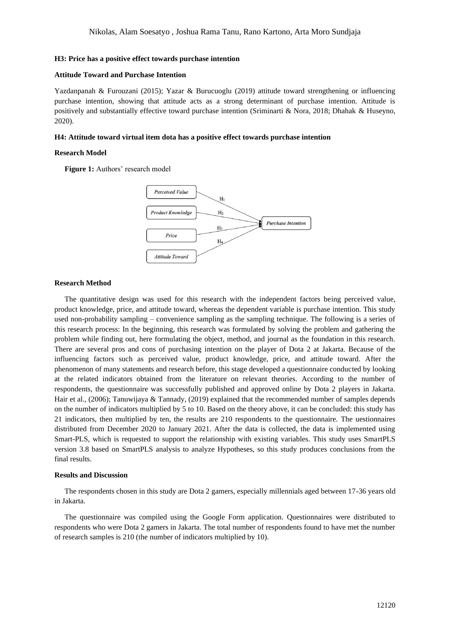#### **H3: Price has a positive effect towards purchase intention**

## **Attitude Toward and Purchase Intention**

Yazdanpanah & Furouzani (2015); Yazar & Burucuoglu (2019) attitude toward strengthening or influencing purchase intention, showing that attitude acts as a strong determinant of purchase intention. Attitude is positively and substantially effective toward purchase intention (Sriminarti & Nora, 2018; Dhahak & Huseyno, 2020).

#### **H4: Attitude toward virtual item dota has a positive effect towards purchase intention**

## **Research Model**

Figure 1: Authors' research model



## **Research Method**

The quantitative design was used for this research with the independent factors being perceived value, product knowledge, price, and attitude toward, whereas the dependent variable is purchase intention. This study used non-probability sampling – convenience sampling as the sampling technique. The following is a series of this research process: In the beginning, this research was formulated by solving the problem and gathering the problem while finding out, here formulating the object, method, and journal as the foundation in this research. There are several pros and cons of purchasing intention on the player of Dota 2 at Jakarta. Because of the influencing factors such as perceived value, product knowledge, price, and attitude toward. After the phenomenon of many statements and research before, this stage developed a questionnaire conducted by looking at the related indicators obtained from the literature on relevant theories. According to the number of respondents, the questionnaire was successfully published and approved online by Dota 2 players in Jakarta. Hair et al., (2006); Tanuwijaya & Tannady, (2019) explained that the recommended number of samples depends on the number of indicators multiplied by 5 to 10. Based on the theory above, it can be concluded: this study has 21 indicators, then multiplied by ten, the results are 210 respondents to the questionnaire. The uestionnaires distributed from December 2020 to January 2021. After the data is collected, the data is implemented using Smart-PLS, which is requested to support the relationship with existing variables. This study uses SmartPLS version 3.8 based on SmartPLS analysis to analyze Hypotheses, so this study produces conclusions from the final results.

## **Results and Discussion**

The respondents chosen in this study are Dota 2 gamers, especially millennials aged between 17-36 years old in Jakarta.

The questionnaire was compiled using the Google Form application. Questionnaires were distributed to respondents who were Dota 2 gamers in Jakarta. The total number of respondents found to have met the number of research samples is 210 (the number of indicators multiplied by 10).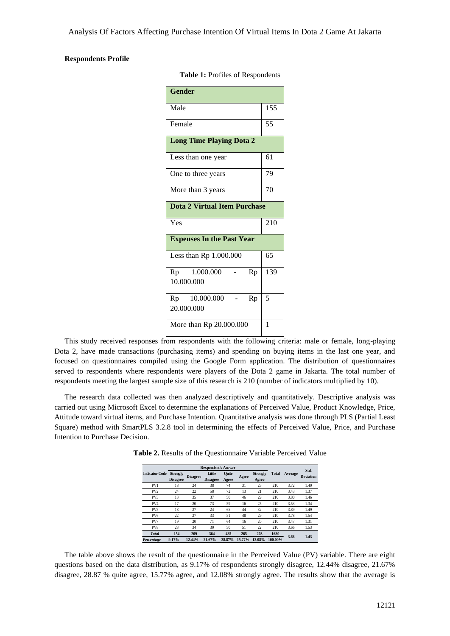## **Respondents Profile**

| <b>Gender</b>                       |     |
|-------------------------------------|-----|
| Male                                | 155 |
| Female                              | 55  |
| <b>Long Time Playing Dota 2</b>     |     |
| Less than one year                  | 61  |
| One to three years                  | 79  |
| More than 3 years                   | 70  |
| <b>Dota 2 Virtual Item Purchase</b> |     |
| Yes                                 | 210 |
| <b>Expenses In the Past Year</b>    |     |
| Less than Rp 1.000.000              | 65  |
| Rp 1.000.000<br>Rp<br>10.000.000    | 139 |
| Rp 10.000.000<br>Rp<br>20.000.000   | 5   |
| More than Rp 20.000.000             | 1   |

**Table 1:** Profiles of Respondents

This study received responses from respondents with the following criteria: male or female, long-playing Dota 2, have made transactions (purchasing items) and spending on buying items in the last one year, and focused on questionnaires compiled using the Google Form application. The distribution of questionnaires served to respondents where respondents were players of the Dota 2 game in Jakarta. The total number of respondents meeting the largest sample size of this research is 210 (number of indicators multiplied by 10).

The research data collected was then analyzed descriptively and quantitatively. Descriptive analysis was carried out using Microsoft Excel to determine the explanations of Perceived Value, Product Knowledge, Price, Attitude toward virtual items, and Purchase Intention. Quantitative analysis was done through PLS (Partial Least Square) method with SmartPLS 3.2.8 tool in determining the effects of Perceived Value, Price, and Purchase Intention to Purchase Decision.

|                       |                                    |                 | <b>Respondent's Answer</b> |                |        |                          |              |         | Std.<br><b>Deviation</b> |
|-----------------------|------------------------------------|-----------------|----------------------------|----------------|--------|--------------------------|--------------|---------|--------------------------|
| <b>Indicator Code</b> | <b>Strongly</b><br><b>Disagree</b> | <b>Disagree</b> | Little<br><b>Disagree</b>  | Ouite<br>Agree | Agree  | <b>Strongly</b><br>Agree | <b>Total</b> | Average |                          |
| PV1                   | 18                                 | 24              | 38                         | 74             | 31     | 25                       | 210          | 3.72    | 1.40                     |
| PV <sub>2</sub>       | 24                                 | 22              | 58                         | 72             | 13     | 21                       | 210          | 3.43    | 1.37                     |
| PV3                   | 13                                 | 35              | 37                         | 50             | 46     | 29                       | 210          | 3.80    | 1.46                     |
| PV4                   | 17                                 | 20              | 73                         | 59             | 16     | 25                       | 210          | 3.53    | 1.34                     |
| PV <sub>5</sub>       | 18                                 | 27              | 24                         | 65             | 44     | 32                       | 210          | 3.89    | 1.49                     |
| PV <sub>6</sub>       | 22                                 | 27              | 33                         | 51             | 48     | 29                       | 210          | 3.78    | 1.54                     |
| PV7                   | 19                                 | 20              | 71                         | 64             | 16     | 20                       | 210          | 3.47    | 1.31                     |
| PV8                   | 23                                 | 34              | 30                         | 50             | 51     | 22                       | 210          | 3.66    | 1.53                     |
| <b>Total</b>          | 154                                | 209             | 364                        | 485            | 265    | 203                      | 1680         |         |                          |
| Percentage            | 9.17%                              | 12.44%          | 21.67%                     | 28.87%         | 15.77% | 12.08%                   | 100.00%      | 3.66    | 1.43                     |

**Table 2.** Results of the Questionnaire Variable Perceived Value

The table above shows the result of the questionnaire in the Perceived Value (PV) variable. There are eight questions based on the data distribution, as 9.17% of respondents strongly disagree, 12.44% disagree, 21.67% disagree, 28.87 % quite agree, 15.77% agree, and 12.08% strongly agree. The results show that the average is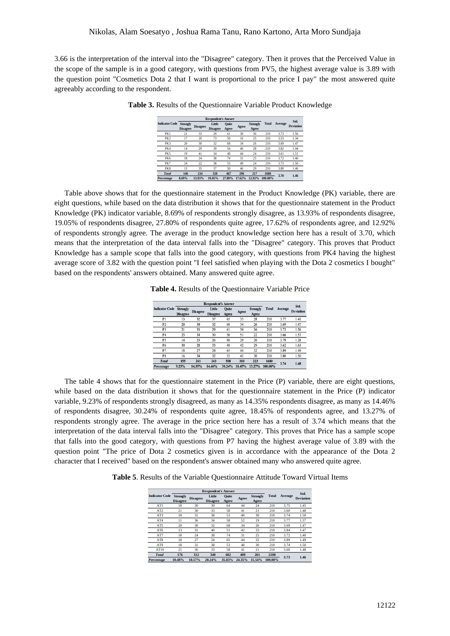3.66 is the interpretation of the interval into the "Disagree" category. Then it proves that the Perceived Value in the scope of the sample is in a good category, with questions from PV5, the highest average value is 3.89 with the question point "Cosmetics Dota 2 that I want is proportional to the price I pay" the most answered quite agreeably according to the respondent.

|                       |                                    |                 | <b>Respondent's Answer</b> |                |        |                          |              |         | Std.             |
|-----------------------|------------------------------------|-----------------|----------------------------|----------------|--------|--------------------------|--------------|---------|------------------|
| <b>Indicator Code</b> | <b>Strongly</b><br><b>Disagree</b> | <b>Disagree</b> | Little<br><b>Disagree</b>  | Ouite<br>Agree | Agree  | <b>Strongly</b><br>Agree | <b>Total</b> | Average | <b>Deviation</b> |
| PK1                   | 21                                 | 33              | 29                         | 61             | 30     | 36                       | 210          | 3.73    | 1.56             |
| PK <sub>2</sub>       | 17                                 | 20              | 73                         | 59             | 16     | 25                       | 210          | 3.53    | 1.34             |
| PK3                   | 20                                 | 30              | 32                         | 68             | 34     | 26                       | 210          | 3.69    | 1.47             |
| PK4                   | 14                                 | 29              | 39                         | 54             | 46     | 28                       | 210          | 3.82    | 1.44             |
| PK5                   | 19                                 | 41              | 34                         | 48             | 44     | 24                       | 210          | 3.61    | 1.51             |
| PK6                   | 18                                 | 24              | 38                         | 74             | 31     | 25                       | 210          | 3.72    | 1.40             |
| PK7                   | 24                                 | 22              | 38                         | 53             | 49     | 24                       | 210          | 3.73    | 1.50             |
| PK8                   | 13                                 | 35              | 37                         | 50             | 46     | 29                       | 210          | 3.80    | 1.46             |
| <b>Total</b>          | 146                                | 234             | 320                        | 467            | 296    | 217                      | 1680         |         |                  |
| Percentage            | 8.69%                              | 13.93%          | 19.05%                     | 27.80%         | 17.62% | 12.92%                   | 100.00%      | 3.70    | 1.46             |

**Table 3.** Results of the Questionnaire Variable Product Knowledge

Table above shows that for the questionnaire statement in the Product Knowledge (PK) variable, there are eight questions, while based on the data distribution it shows that for the questionnaire statement in the Product Knowledge (PK) indicator variable, 8.69% of respondents strongly disagree, as 13.93% of respondents disagree, 19.05% of respondents disagree, 27.80% of respondents quite agree, 17.62% of respondents agree, and 12.92% of respondents strongly agree. The average in the product knowledge section here has a result of 3.70, which means that the interpretation of the data interval falls into the "Disagree" category. This proves that Product Knowledge has a sample scope that falls into the good category, with questions from PK4 having the highest average score of 3.82 with the question point "I feel satisfied when playing with the Dota 2 cosmetics I bought" based on the respondents' answers obtained. Many answered quite agree.

**Table 4.** Results of the Questionnaire Variable Price

|                       |                                    |                 | <b>Respondent's Answer</b> |                |        |                   |              |         | Std.             |
|-----------------------|------------------------------------|-----------------|----------------------------|----------------|--------|-------------------|--------------|---------|------------------|
| <b>Indicator Code</b> | <b>Strongly</b><br><b>Disagree</b> | <b>Disagree</b> | Little<br><b>Disagree</b>  | Ouite<br>Agree | Agree  | Strongly<br>Agree | <b>Total</b> | Average | <b>Deviation</b> |
| P1                    | 13                                 | 32              | 37                         | 65             | 35     | 28                | 210          | 3.77    | 1.41             |
| P <sub>2</sub>        | 20                                 | 30              | 32                         | 68             | 34     | 26                | 210          | 3.69    | 1.47             |
| P <sub>3</sub>        | 21                                 | 33              | 29                         | 61             | 30     | 36                | 210          | 3.73    | 1.56             |
| P4                    | 23                                 | 34              | 30                         | 50             | 51     | 22                | 210          | 3.66    | 1.53             |
| P <sub>5</sub>        | 14                                 | 23              | 26                         | 98             | 29     | 20                | 210          | 3.79    | 1.28             |
| <b>P6</b>             | 30                                 | 28              | 33                         | 48             | 42     | 29                | 210          | 3.62    | 1.61             |
| P7                    | 18                                 | 27              | 24                         | 65             | 44     | 32                | 210          | 3.89    | 1.49             |
| P8                    | 16                                 | 34              | 32                         | 53             | 45     | 30                | 210          | 3.80    | 1.50             |
| <b>Total</b>          | 155                                | 241             | 243                        | 508            | 310    | 223               | 1680         | 3.74    | 1.48             |
| Percentage            | 9.23%                              | 14.35%          | 14.46%                     | 30.24%         | 18.45% | 13.27%            | 100.00%      |         |                  |

The table 4 shows that for the questionnaire statement in the Price (P) variable, there are eight questions, while based on the data distribution it shows that for the questionnaire statement in the Price (P) indicator variable, 9.23% of respondents strongly disagreed, as many as 14.35% respondents disagree, as many as 14.46% of respondents disagree, 30.24% of respondents quite agree, 18.45% of respondents agree, and 13.27% of respondents strongly agree. The average in the price section here has a result of 3.74 which means that the interpretation of the data interval falls into the "Disagree" category. This proves that Price has a sample scope that falls into the good category, with questions from P7 having the highest average value of 3.89 with the question point "The price of Dota 2 cosmetics given is in accordance with the appearance of the Dota 2 character that I received" based on the respondent's answer obtained many who answered quite agree.

**Table 5**. Results of the Variable Questionnaire Attitude Toward Virtual Items

|                       |                                    | <b>Respondent's Answer</b> |                           |                       |        |                          |              |         | Std.             |
|-----------------------|------------------------------------|----------------------------|---------------------------|-----------------------|--------|--------------------------|--------------|---------|------------------|
| <b>Indicator Code</b> | <b>Strongly</b><br><b>Disagree</b> | <b>Disagree</b>            | Little<br><b>Disagree</b> | <b>Ouite</b><br>Agree | Agree  | <b>Strongly</b><br>Agree | <b>Total</b> | Average | <b>Deviation</b> |
| AT1                   | 18                                 | 30                         | 30                        | 64                    | 44     | 24                       | 210          | 3.75    | 1.45             |
| AT <sub>2</sub>       | 21                                 | 36                         | 33                        | 58                    | 41     | 21                       | 210          | 3.60    | 1.48             |
| AT3                   | 18                                 | 31                         | 38                        | 53                    | 40     | 30                       | 210          | 3.74    | 1.50             |
| AT4                   | 11                                 | 36                         | 34                        | 58                    | 52     | 19                       | 210          | 3.77    | 1.37             |
| AT5                   | 20                                 | 30                         | 32                        | 68                    | 34     | 26                       | 210          | 3.69    | 1.47             |
| AT6                   | 13                                 | 31                         | 40                        | 51                    | 42     | 33                       | 210          | 3.84    | 1.47             |
| AT7                   | 18                                 | 24                         | 38                        | 74                    | 31     | 25                       | 210          | 3.72    | 1.40             |
| AT8                   | 18                                 | 27                         | 24                        | 65                    | 44     | 32                       | 210          | 3.89    | 1.49             |
| AT9                   | 18                                 | 31                         | 38                        | 53                    | 40     | 30                       | 210          | 3.74    | 1.50             |
| AT10                  | 21                                 | 36                         | 33                        | 58                    | 41     | 21                       | 210          | 3.60    | 1.48             |
| <b>Total</b>          | 176                                | 312                        | 340                       | 602                   | 409    | 261                      | 2100         | 3.73    | 1.46             |
| Percentage            | 10.48%                             | 18.57%                     | 20.24%                    | 35.83%                | 24.35% | 15.54%                   | 100.00%      |         |                  |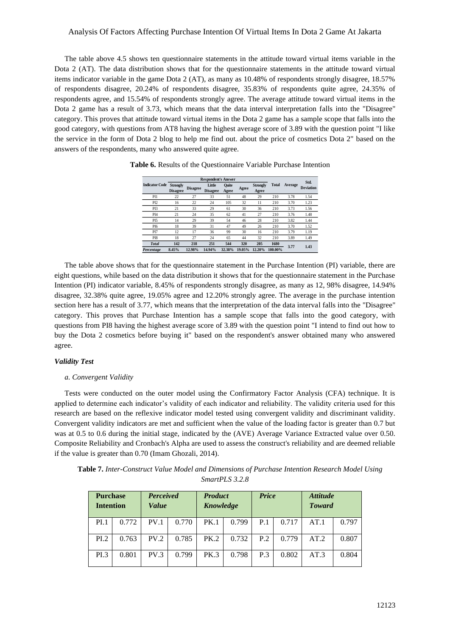## Analysis Of Factors Affecting Purchase Intention Of Virtual Items In Dota 2 Game At Jakarta

The table above 4.5 shows ten questionnaire statements in the attitude toward virtual items variable in the Dota 2 (AT). The data distribution shows that for the questionnaire statements in the attitude toward virtual items indicator variable in the game Dota 2 (AT), as many as 10.48% of respondents strongly disagree, 18.57% of respondents disagree, 20.24% of respondents disagree, 35.83% of respondents quite agree, 24.35% of respondents agree, and 15.54% of respondents strongly agree. The average attitude toward virtual items in the Dota 2 game has a result of 3.73, which means that the data interval interpretation falls into the "Disagree" category. This proves that attitude toward virtual items in the Dota 2 game has a sample scope that falls into the good category, with questions from AT8 having the highest average score of 3.89 with the question point "I like the service in the form of Dota 2 blog to help me find out. about the price of cosmetics Dota 2" based on the answers of the respondents, many who answered quite agree.

|                       |                                    |                 | <b>Respondent's Answer</b> |                |        |                          |              |         | Std.             |
|-----------------------|------------------------------------|-----------------|----------------------------|----------------|--------|--------------------------|--------------|---------|------------------|
| <b>Indicator Code</b> | <b>Strongly</b><br><b>Disagree</b> | <b>Disagree</b> | Little<br><b>Disagree</b>  | Ouite<br>Agree | Agree  | <b>Strongly</b><br>Agree | <b>Total</b> | Average | <b>Deviation</b> |
| PI1                   | 22                                 | 27              | 33                         | 51             | 48     | 29                       | 210          | 3.78    | 1.54             |
| PI <sub>2</sub>       | 16                                 | 22              | 24                         | 105            | 32     | 11                       | 210          | 3.70    | 1.23             |
| PI3                   | 21                                 | 33              | 29                         | 61             | 30     | 36                       | 210          | 3.73    | 1.56             |
| PI <sub>4</sub>       | 21                                 | 24              | 35                         | 62             | 41     | 27                       | 210          | 3.76    | 1.48             |
| PI <sub>5</sub>       | 14                                 | 29              | 39                         | 54             | 46     | 28                       | 210          | 3.82    | 1.44             |
| PI <sub>6</sub>       | 18                                 | 39              | 31                         | 47             | 49     | 26                       | 210          | 3.70    | 1.52             |
| PI7                   | 12                                 | 17              | 36                         | 99             | 30     | 16                       | 210          | 3.79    | 1.19             |
| PI8                   | 18                                 | 27              | 24                         | 65             | 44     | 32                       | 210          | 3.89    | 1.49             |
| <b>Total</b>          | 142                                | 218             | 251                        | 544            | 320    | 205                      | 1680         | 3.77    | 1.43             |
| Percentage            | 8.45%                              | 12.98%          | 14.94%                     | 32.38%         | 19.05% | 12.20%                   | 100.00%      |         |                  |
|                       |                                    |                 |                            |                |        |                          |              |         |                  |

**Table 6.** Results of the Questionnaire Variable Purchase Intention

The table above shows that for the questionnaire statement in the Purchase Intention (PI) variable, there are eight questions, while based on the data distribution it shows that for the questionnaire statement in the Purchase Intention (PI) indicator variable, 8.45% of respondents strongly disagree, as many as 12, 98% disagree, 14.94% disagree, 32.38% quite agree, 19.05% agree and 12.20% strongly agree. The average in the purchase intention section here has a result of 3.77, which means that the interpretation of the data interval falls into the "Disagree" category. This proves that Purchase Intention has a sample scope that falls into the good category, with questions from PI8 having the highest average score of 3.89 with the question point "I intend to find out how to buy the Dota 2 cosmetics before buying it" based on the respondent's answer obtained many who answered agree.

## *Validity Test*

## *a. Convergent Validity*

Tests were conducted on the outer model using the Confirmatory Factor Analysis (CFA) technique. It is applied to determine each indicator's validity of each indicator and reliability. The validity criteria used for this research are based on the reflexive indicator model tested using convergent validity and discriminant validity. Convergent validity indicators are met and sufficient when the value of the loading factor is greater than 0.7 but was at 0.5 to 0.6 during the initial stage, indicated by the (AVE) Average Variance Extracted value over 0.50. Composite Reliability and Cronbach's Alpha are used to assess the construct's reliability and are deemed reliable if the value is greater than 0.70 (Imam Ghozali, 2014).

**Table 7.** *Inter-Construct Value Model and Dimensions of Purchase Intention Research Model Using SmartPLS 3.2.8*

|      | <b>Purchase</b><br><b>Intention</b> |                  | <b>Product</b><br><b>Perceived</b><br>Knowledge<br><i>Value</i> |             |       | <b>Price</b> |       | <i><b>Attitude</b></i><br><b>Toward</b> |       |
|------|-------------------------------------|------------------|-----------------------------------------------------------------|-------------|-------|--------------|-------|-----------------------------------------|-------|
| PI.1 | 0.772                               | PV.1             | 0.770                                                           | <b>PK.1</b> | 0.799 | P.1          | 0.717 | AT.1                                    | 0.797 |
| PI.2 | 0.763                               | PV.2             | 0.785                                                           | PK.2        | 0.732 | P.2          | 0.779 | AT.2                                    | 0.807 |
| PI.3 | 0.801                               | PV <sub>.3</sub> | 0.799                                                           | <b>PK.3</b> | 0.798 | P.3          | 0.802 | AT.3                                    | 0.804 |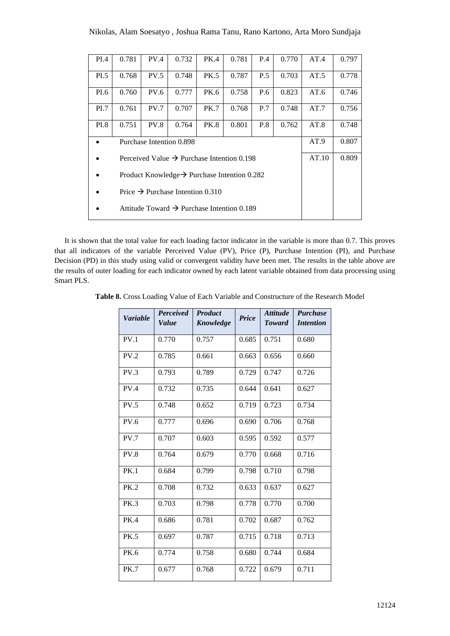| PI.4        | 0.781                                                    | PV.4        | 0.732 | PK.4        | 0.781                                                  | P.4 | 0.770 | AT.4  | 0.797 |
|-------------|----------------------------------------------------------|-------------|-------|-------------|--------------------------------------------------------|-----|-------|-------|-------|
| PI.5        | 0.768                                                    | PV.5        | 0.748 | <b>PK.5</b> | 0.787                                                  | P.5 | 0.703 | AT.5  | 0.778 |
| PI.6        | 0.760                                                    | <b>PV.6</b> | 0.777 | PK.6        | 0.758                                                  | P.6 | 0.823 | AT.6  | 0.746 |
| PI.7        | 0.761                                                    | PV.7        | 0.707 | <b>PK.7</b> | 0.768                                                  | P.7 | 0.748 | AT.7  | 0.756 |
| <b>PI.8</b> | 0.751                                                    | PV.8        | 0.764 | <b>PK.8</b> | 0.801                                                  | P.8 | 0.762 | AT.8  | 0.748 |
|             | Purchase Intention 0.898                                 | AT.9        | 0.807 |             |                                                        |     |       |       |       |
|             |                                                          |             |       |             | Perceived Value $\rightarrow$ Purchase Intention 0.198 |     |       | AT.10 | 0.809 |
|             | Product Knowledge $\rightarrow$ Purchase Intention 0.282 |             |       |             |                                                        |     |       |       |       |
|             | Price $\rightarrow$ Purchase Intention 0.310             |             |       |             |                                                        |     |       |       |       |
|             | Attitude Toward $\rightarrow$ Purchase Intention 0.189   |             |       |             |                                                        |     |       |       |       |
|             |                                                          |             |       |             |                                                        |     |       |       |       |

It is shown that the total value for each loading factor indicator in the variable is more than 0.7. This proves that all indicators of the variable Perceived Value (PV), Price (P), Purchase Intention (PI), and Purchase Decision (PD) in this study using valid or convergent validity have been met. The results in the table above are the results of outer loading for each indicator owned by each latent variable obtained from data processing using Smart PLS.

**Table 8.** Cross Loading Value of Each Variable and Constructure of the Research Model

| <b>Variable</b>  | Perceived<br>Value | <b>Product</b><br>Knowledge | <b>Price</b> | <b>Attitude</b><br><b>Toward</b> | <b>Purchase</b><br><i>Intention</i> |
|------------------|--------------------|-----------------------------|--------------|----------------------------------|-------------------------------------|
| PV.1             | 0.770              | 0.757                       | 0.685        | 0.751                            | 0.680                               |
| PV.2             | 0.785              | 0.661                       | 0.663        | 0.656                            | 0.660                               |
| PV <sub>.3</sub> | 0.793              | 0.789                       | 0.729        | 0.747                            | 0.726                               |
| PV <sub>.4</sub> | 0.732              | 0.735                       | 0.644        | 0.641                            | 0.627                               |
| PV.5             | 0.748              | 0.652                       | 0.719        | 0.723                            | 0.734                               |
| PV.6             | 0.777              | 0.696                       | 0.690        | 0.706                            | 0.768                               |
| PV.7             | 0.707              | 0.603                       | 0.595        | 0.592                            | 0.577                               |
| <b>PV.8</b>      | 0.764              | 0.679                       | 0.770        | 0.668                            | 0.716                               |
| <b>PK.1</b>      | 0.684              | 0.799                       | 0.798        | 0.710                            | 0.798                               |
| <b>PK.2</b>      | 0.708              | 0.732                       | 0.633        | 0.637                            | 0.627                               |
| <b>PK.3</b>      | 0.703              | 0.798                       | 0.778        | 0.770                            | 0.700                               |
| <b>PK.4</b>      | 0.686              | 0.781                       | 0.702        | 0.687                            | 0.762                               |
| <b>PK.5</b>      | 0.697              | 0.787                       | 0.715        | 0.718                            | 0.713                               |
| <b>PK.6</b>      | 0.774              | 0.758                       | 0.680        | 0.744                            | 0.684                               |
| <b>PK.7</b>      | 0.677              | 0.768                       | 0.722        | 0.679                            | 0.711                               |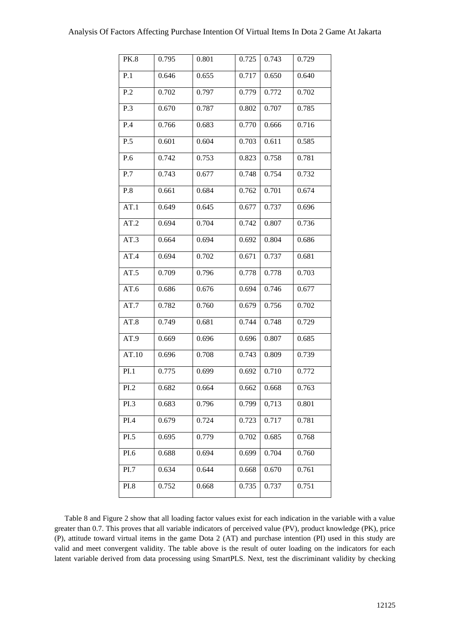| <b>PK.8</b> | 0.795 | 0.801 | 0.725 | 0.743 | 0.729 |
|-------------|-------|-------|-------|-------|-------|
| P.1         | 0.646 | 0.655 | 0.717 | 0.650 | 0.640 |
| P.2         | 0.702 | 0.797 | 0.779 | 0.772 | 0.702 |
| P.3         | 0.670 | 0.787 | 0.802 | 0.707 | 0.785 |
| P.4         | 0.766 | 0.683 | 0.770 | 0.666 | 0.716 |
| P.5         | 0.601 | 0.604 | 0.703 | 0.611 | 0.585 |
| P.6         | 0.742 | 0.753 | 0.823 | 0.758 | 0.781 |
| P.7         | 0.743 | 0.677 | 0.748 | 0.754 | 0.732 |
| P.8         | 0.661 | 0.684 | 0.762 | 0.701 | 0.674 |
| AT.1        | 0.649 | 0.645 | 0.677 | 0.737 | 0.696 |
| AT.2        | 0.694 | 0.704 | 0.742 | 0.807 | 0.736 |
| AT.3        | 0.664 | 0.694 | 0.692 | 0.804 | 0.686 |
| AT.4        | 0.694 | 0.702 | 0.671 | 0.737 | 0.681 |
| AT.5        | 0.709 | 0.796 | 0.778 | 0.778 | 0.703 |
| AT.6        | 0.686 | 0.676 | 0.694 | 0.746 | 0.677 |
| AT.7        | 0.782 | 0.760 | 0.679 | 0.756 | 0.702 |
| AT.8        | 0.749 | 0.681 | 0.744 | 0.748 | 0.729 |
| AT.9        | 0.669 | 0.696 | 0.696 | 0.807 | 0.685 |
| AT.10       | 0.696 | 0.708 | 0.743 | 0.809 | 0.739 |
| PI.1        | 0.775 | 0.699 | 0.692 | 0.710 | 0.772 |
| PI.2        | 0.682 | 0.664 | 0.662 | 0.668 | 0.763 |
| PI.3        | 0.683 | 0.796 | 0.799 | 0,713 | 0.801 |
| PI.4        | 0.679 | 0.724 | 0.723 | 0.717 | 0.781 |
| PL.5        | 0.695 | 0.779 | 0.702 | 0.685 | 0.768 |
| PI.6        | 0.688 | 0.694 | 0.699 | 0.704 | 0.760 |
| PI.7        | 0.634 | 0.644 | 0.668 | 0.670 | 0.761 |
| PI.8        | 0.752 | 0.668 | 0.735 | 0.737 | 0.751 |
|             |       |       |       |       |       |

Table 8 and Figure 2 show that all loading factor values exist for each indication in the variable with a value greater than 0.7. This proves that all variable indicators of perceived value (PV), product knowledge (PK), price (P), attitude toward virtual items in the game Dota 2 (AT) and purchase intention (PI) used in this study are valid and meet convergent validity. The table above is the result of outer loading on the indicators for each latent variable derived from data processing using SmartPLS. Next, test the discriminant validity by checking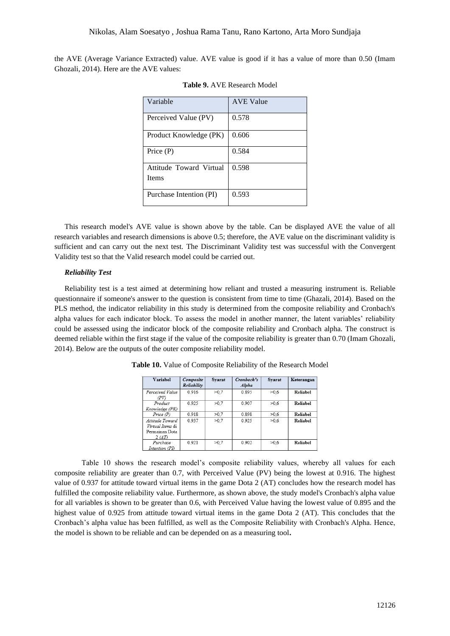the AVE (Average Variance Extracted) value. AVE value is good if it has a value of more than 0.50 (Imam Ghozali, 2014). Here are the AVE values:

| Variable                                | <b>AVE Value</b> |
|-----------------------------------------|------------------|
| Perceived Value (PV)                    | 0.578            |
| Product Knowledge (PK)                  | 0.606            |
| Price $(P)$                             | 0.584            |
| Attitude Toward Virtual<br><b>Items</b> | 0.598            |
| Purchase Intention (PI)                 | 0.593            |

|  |  | <b>Table 9. AVE Research Model</b> |  |
|--|--|------------------------------------|--|
|--|--|------------------------------------|--|

This research model's AVE value is shown above by the table. Can be displayed AVE the value of all research variables and research dimensions is above 0.5; therefore, the AVE value on the discriminant validity is sufficient and can carry out the next test. The Discriminant Validity test was successful with the Convergent Validity test so that the Valid research model could be carried out.

#### *Reliability Test*

Reliability test is a test aimed at determining how reliant and trusted a measuring instrument is. Reliable questionnaire if someone's answer to the question is consistent from time to time (Ghazali, 2014). Based on the PLS method, the indicator reliability in this study is determined from the composite reliability and Cronbach's alpha values for each indicator block. To assess the model in another manner, the latent variables' reliability could be assessed using the indicator block of the composite reliability and Cronbach alpha. The construct is deemed reliable within the first stage if the value of the composite reliability is greater than 0.70 (Imam Ghozali, 2014). Below are the outputs of the outer composite reliability model.

| Variabel         | Composite<br>Reliability | Syarat | Cronbach's<br>Alpha | Syarat | Keterangan |
|------------------|--------------------------|--------|---------------------|--------|------------|
|                  |                          |        |                     |        |            |
| Perceived Value  | 0.916                    | >0.7   | 0.895               | >0.6   | Reliabel   |
| (PV)             |                          |        |                     |        |            |
| Product          | 0.925                    | >0.7   | 0.907               | >0.6   | Reliabel   |
| Knowledge (PK)   |                          |        |                     |        |            |
| Price (P)        | 0.918                    | >0.7   | 0.898               | >0.6   | Reliabel   |
| Attitude Toward  | 0.937                    | >0.7   | 0.925               | >0.6   | Reliabel   |
| Virtual Items di |                          |        |                     |        |            |
| Permainan Dota   |                          |        |                     |        |            |
| 2(AT)            |                          |        |                     |        |            |
| Purchase         | 0.921                    | >0.7   | 0.902               | >0.6   | Reliabel   |
| Intention (PI)   |                          |        |                     |        |            |

**Table 10.** Value of Composite Reliability of the Research Model

Table 10 shows the research model's composite reliability values, whereby all values for each composite reliability are greater than 0.7, with Perceived Value (PV) being the lowest at 0.916. The highest value of 0.937 for attitude toward virtual items in the game Dota 2 (AT) concludes how the research model has fulfilled the composite reliability value. Furthermore, as shown above, the study model's Cronbach's alpha value for all variables is shown to be greater than 0.6, with Perceived Value having the lowest value of 0.895 and the highest value of 0.925 from attitude toward virtual items in the game Dota 2 (AT). This concludes that the Cronbach's alpha value has been fulfilled, as well as the Composite Reliability with Cronbach's Alpha. Hence, the model is shown to be reliable and can be depended on as a measuring tool**.**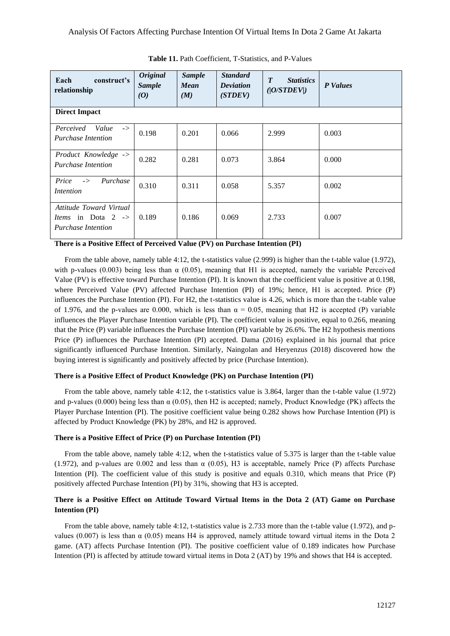| construct's<br>Each<br>relationship                                                          | <b>Original</b><br><b>Sample</b><br>$\boldsymbol{0}$ | <b>Sample</b><br><b>Mean</b><br>(M) | <b>Standard</b><br><b>Deviation</b><br>(STDEV) | $\boldsymbol{T}$<br><b>Statistics</b><br>( O/STDEV ) | <b>P</b> Values |  |  |  |
|----------------------------------------------------------------------------------------------|------------------------------------------------------|-------------------------------------|------------------------------------------------|------------------------------------------------------|-----------------|--|--|--|
| <b>Direct Impact</b>                                                                         |                                                      |                                     |                                                |                                                      |                 |  |  |  |
| Perceived<br>Value<br>$\rightarrow$<br><b>Purchase Intention</b>                             | 0.198                                                | 0.201                               | 0.066                                          | 2.999                                                | 0.003           |  |  |  |
| Product Knowledge -><br><b>Purchase Intention</b>                                            | 0.282                                                | 0.281                               | 0.073                                          | 3.864                                                | 0.000           |  |  |  |
| Price<br>Purchase<br>$\rightarrow$<br>Intention                                              | 0.310                                                | 0.311                               | 0.058                                          | 5.357                                                | 0.002           |  |  |  |
| Attitude Toward Virtual<br><i>Items</i> in Dota $2 \rightarrow$<br><b>Purchase Intention</b> | 0.189                                                | 0.186                               | 0.069                                          | 2.733                                                | 0.007           |  |  |  |

**Table 11.** Path Coefficient, T-Statistics, and P-Values

## **There is a Positive Effect of Perceived Value (PV) on Purchase Intention (PI)**

From the table above, namely table 4:12, the t-statistics value (2.999) is higher than the t-table value (1.972), with p-values (0.003) being less than  $\alpha$  (0.05), meaning that H1 is accepted, namely the variable Perceived Value (PV) is effective toward Purchase Intention (PI). It is known that the coefficient value is positive at 0.198, where Perceived Value (PV) affected Purchase Intention (PI) of 19%; hence, H1 is accepted. Price (P) influences the Purchase Intention (PI). For H2, the t-statistics value is 4.26, which is more than the t-table value of 1.976, and the p-values are 0.000, which is less than  $\alpha = 0.05$ , meaning that H2 is accepted (P) variable influences the Player Purchase Intention variable (PI). The coefficient value is positive, equal to 0.266, meaning that the Price (P) variable influences the Purchase Intention (PI) variable by 26.6%. The H2 hypothesis mentions Price (P) influences the Purchase Intention (PI) accepted. Dama (2016) explained in his journal that price significantly influenced Purchase Intention. Similarly, Naingolan and Heryenzus (2018) discovered how the buying interest is significantly and positively affected by price (Purchase Intention).

## **There is a Positive Effect of Product Knowledge (PK) on Purchase Intention (PI)**

From the table above, namely table 4:12, the t-statistics value is 3.864, larger than the t-table value (1.972) and p-values (0.000) being less than  $\alpha$  (0.05), then H2 is accepted; namely, Product Knowledge (PK) affects the Player Purchase Intention (PI). The positive coefficient value being 0.282 shows how Purchase Intention (PI) is affected by Product Knowledge (PK) by 28%, and H2 is approved.

## **There is a Positive Effect of Price (P) on Purchase Intention (PI)**

From the table above, namely table 4:12, when the t-statistics value of 5.375 is larger than the t-table value (1.972), and p-values are 0.002 and less than  $\alpha$  (0.05), H3 is acceptable, namely Price (P) affects Purchase Intention (PI). The coefficient value of this study is positive and equals 0.310, which means that Price (P) positively affected Purchase Intention (PI) by 31%, showing that H3 is accepted.

## **There is a Positive Effect on Attitude Toward Virtual Items in the Dota 2 (AT) Game on Purchase Intention (PI)**

From the table above, namely table 4:12, t-statistics value is 2.733 more than the t-table value (1.972), and pvalues (0.007) is less than  $\alpha$  (0.05) means H4 is approved, namely attitude toward virtual items in the Dota 2 game. (AT) affects Purchase Intention (PI). The positive coefficient value of 0.189 indicates how Purchase Intention (PI) is affected by attitude toward virtual items in Dota 2 (AT) by 19% and shows that H4 is accepted.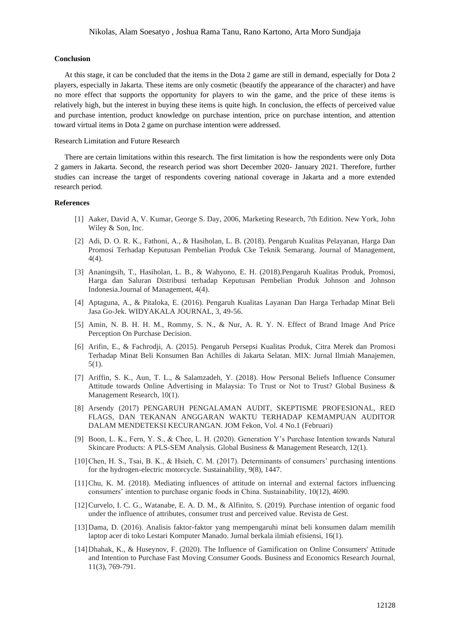## **Conclusion**

At this stage, it can be concluded that the items in the Dota 2 game are still in demand, especially for Dota 2 players, especially in Jakarta. These items are only cosmetic (beautify the appearance of the character) and have no more effect that supports the opportunity for players to win the game, and the price of these items is relatively high, but the interest in buying these items is quite high. In conclusion, the effects of perceived value and purchase intention, product knowledge on purchase intention, price on purchase intention, and attention toward virtual items in Dota 2 game on purchase intention were addressed.

## Research Limitation and Future Research

There are certain limitations within this research. The first limitation is how the respondents were only Dota 2 gamers in Jakarta. Second, the research period was short December 2020- January 2021. Therefore, further studies can increase the target of respondents covering national coverage in Jakarta and a more extended research period.

#### **References**

- [1] Aaker, David A, V. Kumar, George S. Day, 2006, Marketing Research, 7th Edition. New York, John Wiley & Son, Inc.
- [2] Adi, D. O. R. K., Fathoni, A., & Hasiholan, L. B. (2018). Pengaruh Kualitas Pelayanan, Harga Dan Promosi Terhadap Keputusan Pembelian Produk Cke Teknik Semarang. Journal of Management, 4(4).
- [3] Ananingsih, T., Hasiholan, L. B., & Wahyono, E. H. (2018).Pengaruh Kualitas Produk, Promosi, Harga dan Saluran Distribusi terhadap Keputusan Pembelian Produk Johnson and Johnson Indonesia.Journal of Management, 4(4).
- [4] Aptaguna, A., & Pitaloka, E. (2016). Pengaruh Kualitas Layanan Dan Harga Terhadap Minat Beli Jasa Go-Jek. WIDYAKALA JOURNAL, 3, 49-56.
- [5] Amin, N. B. H. H. M., Rommy, S. N., & Nur, A. R. Y. N. Effect of Brand Image And Price Perception On Purchase Decision.
- [6] Arifin, E., & Fachrodji, A. (2015). Pengaruh Persepsi Kualitas Produk, Citra Merek dan Promosi Terhadap Minat Beli Konsumen Ban Achilles di Jakarta Selatan. MIX: Jurnal Ilmiah Manajemen, 5(1).
- [7] Ariffin, S. K., Aun, T. L., & Salamzadeh, Y. (2018). How Personal Beliefs Influence Consumer Attitude towards Online Advertising in Malaysia: To Trust or Not to Trust? Global Business & Management Research, 10(1).
- [8] Arsendy (2017) PENGARUH PENGALAMAN AUDIT, SKEPTISME PROFESIONAL, RED FLAGS, DAN TEKANAN ANGGARAN WAKTU TERHADAP KEMAMPUAN AUDITOR DALAM MENDETEKSI KECURANGAN. JOM Fekon, Vol. 4 No.1 (Februari)
- [9] Boon, L. K., Fern, Y. S., & Chee, L. H. (2020). Generation Y's Purchase Intention towards Natural Skincare Products: A PLS-SEM Analysis. Global Business & Management Research, 12(1).
- [10]Chen, H. S., Tsai, B. K., & Hsieh, C. M. (2017). Determinants of consumers' purchasing intentions for the hydrogen-electric motorcycle. Sustainability, 9(8), 1447.
- [11]Chu, K. M. (2018). Mediating influences of attitude on internal and external factors influencing consumers' intention to purchase organic foods in China. Sustainability, 10(12), 4690.
- [12]Curvelo, I. C. G., Watanabe, E. A. D. M., & Alfinito, S. (2019). Purchase intention of organic food under the influence of attributes, consumer trust and perceived value. Revista de Gest.
- [13]Dama, D. (2016). Analisis faktor-faktor yang mempengaruhi minat beli konsumen dalam memilih laptop acer di toko Lestari Komputer Manado. Jurnal berkala ilmiah efisiensi, 16(1).
- [14]Dhahak, K., & Huseynov, F. (2020). The Influence of Gamification on Online Consumers' Attitude and Intention to Purchase Fast Moving Consumer Goods. Business and Economics Research Journal, 11(3), 769-791.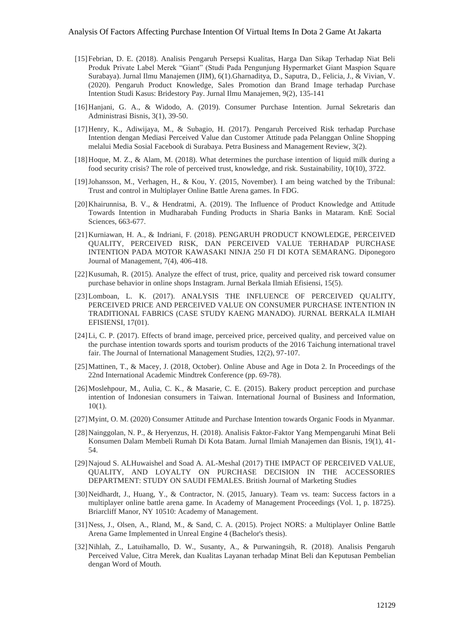- [15]Febrian, D. E. (2018). Analisis Pengaruh Persepsi Kualitas, Harga Dan Sikap Terhadap Niat Beli Produk Private Label Merek "Giant" (Studi Pada Pengunjung Hypermarket Giant Maspion Square Surabaya). Jurnal Ilmu Manajemen (JIM), 6(1).Gharnaditya, D., Saputra, D., Felicia, J., & Vivian, V. (2020). Pengaruh Product Knowledge, Sales Promotion dan Brand Image terhadap Purchase Intention Studi Kasus: Bridestory Pay. Jurnal Ilmu Manajemen, 9(2), 135-141
- [16]Hanjani, G. A., & Widodo, A. (2019). Consumer Purchase Intention. Jurnal Sekretaris dan Administrasi Bisnis, 3(1), 39-50.
- [17]Henry, K., Adiwijaya, M., & Subagio, H. (2017). Pengaruh Perceived Risk terhadap Purchase Intention dengan Mediasi Perceived Value dan Customer Attitude pada Pelanggan Online Shopping melalui Media Sosial Facebook di Surabaya. Petra Business and Management Review, 3(2).
- [18]Hoque, M. Z., & Alam, M. (2018). What determines the purchase intention of liquid milk during a food security crisis? The role of perceived trust, knowledge, and risk. Sustainability, 10(10), 3722.
- [19]Johansson, M., Verhagen, H., & Kou, Y. (2015, November). I am being watched by the Tribunal: Trust and control in Multiplayer Online Battle Arena games. In FDG.
- [20]Khairunnisa, B. V., & Hendratmi, A. (2019). The Influence of Product Knowledge and Attitude Towards Intention in Mudharabah Funding Products in Sharia Banks in Mataram. KnE Social Sciences, 663-677.
- [21]Kurniawan, H. A., & Indriani, F. (2018). PENGARUH PRODUCT KNOWLEDGE, PERCEIVED QUALITY, PERCEIVED RISK, DAN PERCEIVED VALUE TERHADAP PURCHASE INTENTION PADA MOTOR KAWASAKI NINJA 250 FI DI KOTA SEMARANG. Diponegoro Journal of Management, 7(4), 406-418.
- [22]Kusumah, R. (2015). Analyze the effect of trust, price, quality and perceived risk toward consumer purchase behavior in online shops Instagram. Jurnal Berkala Ilmiah Efisiensi, 15(5).
- [23] Lomboan, L. K. (2017). ANALYSIS THE INFLUENCE OF PERCEIVED QUALITY, PERCEIVED PRICE AND PERCEIVED VALUE ON CONSUMER PURCHASE INTENTION IN TRADITIONAL FABRICS (CASE STUDY KAENG MANADO). JURNAL BERKALA ILMIAH EFISIENSI, 17(01).
- [24]Li, C. P. (2017). Effects of brand image, perceived price, perceived quality, and perceived value on the purchase intention towards sports and tourism products of the 2016 Taichung international travel fair. The Journal of International Management Studies, 12(2), 97-107.
- [25]Mattinen, T., & Macey, J. (2018, October). Online Abuse and Age in Dota 2. In Proceedings of the 22nd International Academic Mindtrek Conference (pp. 69-78).
- [26] Moslehpour, M., Aulia, C. K., & Masarie, C. E. (2015). Bakery product perception and purchase intention of Indonesian consumers in Taiwan. International Journal of Business and Information, 10(1).
- [27]Myint, O. M. (2020) Consumer Attitude and Purchase Intention towards Organic Foods in Myanmar.
- [28]Nainggolan, N. P., & Heryenzus, H. (2018). Analisis Faktor-Faktor Yang Mempengaruhi Minat Beli Konsumen Dalam Membeli Rumah Di Kota Batam. Jurnal Ilmiah Manajemen dan Bisnis, 19(1), 41- 54.
- [29]Najoud S. ALHuwaishel and Soad A. AL-Meshal (2017) THE IMPACT OF PERCEIVED VALUE, QUALITY, AND LOYALTY ON PURCHASE DECISION IN THE ACCESSORIES DEPARTMENT: STUDY ON SAUDI FEMALES. British Journal of Marketing Studies
- [30]Neidhardt, J., Huang, Y., & Contractor, N. (2015, January). Team vs. team: Success factors in a multiplayer online battle arena game. In Academy of Management Proceedings (Vol. 1, p. 18725). Briarcliff Manor, NY 10510: Academy of Management.
- [31]Ness, J., Olsen, A., Rland, M., & Sand, C. A. (2015). Project NORS: a Multiplayer Online Battle Arena Game Implemented in Unreal Engine 4 (Bachelor's thesis).
- [32]Nihlah, Z., Latuihamallo, D. W., Susanty, A., & Purwaningsih, R. (2018). Analisis Pengaruh Perceived Value, Citra Merek, dan Kualitas Layanan terhadap Minat Beli dan Keputusan Pembelian dengan Word of Mouth.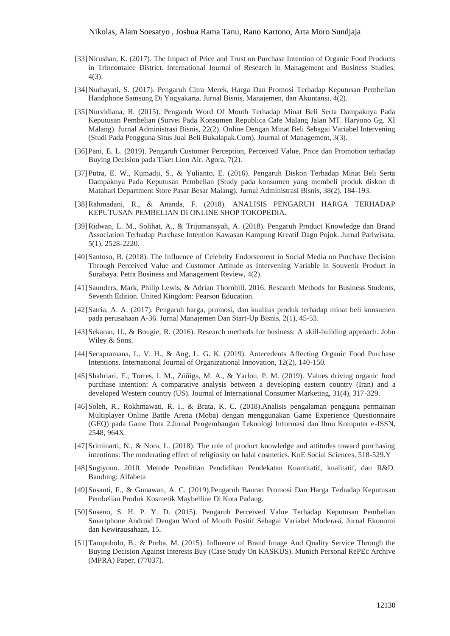## Nikolas, Alam Soesatyo , Joshua Rama Tanu, Rano Kartono, Arta Moro Sundjaja

- [33] Nirushan, K. (2017). The Impact of Price and Trust on Purchase Intention of Organic Food Products in Trincomalee District. International Journal of Research in Management and Business Studies, 4(3).
- [34]Nurhayati, S. (2017). Pengaruh Citra Merek, Harga Dan Promosi Terhadap Keputusan Pembelian Handphone Samsung Di Yogyakarta. Jurnal Bisnis, Manajemen, dan Akuntansi, 4(2).
- [35]Nurvidiana, R. (2015). Pengaruh Word Of Mouth Terhadap Minat Beli Serta Dampaknya Pada Keputusan Pembelian (Survei Pada Konsumen Republica Cafe Malang Jalan MT. Haryono Gg. XI Malang). Jurnal Administrasi Bisnis, 22(2). Online Dengan Minat Beli Sebagai Variabel Intervening (Studi Pada Pengguna Situs Jual Beli Bukalapak.Com). Journal of Management, 3(3).
- [36]Pani, E. L. (2019). Pengaruh Customer Perception, Perceived Value, Price dan Promotion terhadap Buying Decision pada Tiket Lion Air. Agora, 7(2).
- [37]Putra, E. W., Kumadji, S., & Yulianto, E. (2016). Pengaruh Diskon Terhadap Minat Beli Serta Dampaknya Pada Keputusan Pembelian (Study pada konsumen yang membeli produk diskon di Matahari Department Store Pasar Besar Malang). Jurnal Administrasi Bisnis, 38(2), 184-193.
- [38]Rahmadani, R., & Ananda, F. (2018). ANALISIS PENGARUH HARGA TERHADAP KEPUTUSAN PEMBELIAN DI ONLINE SHOP TOKOPEDIA.
- [39]Ridwan, L. M., Solihat, A., & Trijumansyah, A. (2018). Pengaruh Product Knowledge dan Brand Association Terhadap Purchase Intention Kawasan Kampung Kreatif Dago Pojok. Jurnal Pariwisata, 5(1), 2528-2220.
- [40]Santoso, B. (2018). The Influence of Celebrity Endorsement in Social Media on Purchase Decision Through Perceived Value and Customer Attitude as Intervening Variable in Souvenir Product in Surabaya. Petra Business and Management Review, 4(2).
- [41]Saunders, Mark, Philip Lewis, & Adrian Thornhill. 2016. Research Methods for Business Students, Seventh Edition. United Kingdom: Pearson Education.
- [42]Satria, A. A. (2017). Pengaruh harga, promosi, dan kualitas produk terhadap minat beli konsumen pada perusahaan A-36. Jurnal Manajemen Dan Start-Up Bisnis, 2(1), 45-53.
- [43]Sekaran, U., & Bougie, R. (2016). Research methods for business: A skill-building approach. John Wiley & Sons.
- [44]Secapramana, L. V. H., & Ang, L. G. K. (2019). Antecedents Affecting Organic Food Purchase Intentions. International Journal of Organizational Innovation, 12(2), 140-150.
- [45]Shahriari, E., Torres, I. M., Zúñiga, M. A., & Yarlou, P. M. (2019). Values driving organic food purchase intention: A comparative analysis between a developing eastern country (Iran) and a developed Western country (US). Journal of International Consumer Marketing, 31(4), 317-329.
- [46]Soleh, R., Rokhmawati, R. I., & Brata, K. C. (2018).Analisis pengalaman pengguna permainan Multiplayer Online Battle Arena (Moba) dengan menggunakan Game Experience Questionnaire (GEQ) pada Game Dota 2.Jurnal Pengembangan Teknologi Informasi dan Ilmu Komputer e-ISSN, 2548, 964X.
- [47]Sriminarti, N., & Nora, L. (2018). The role of product knowledge and attitudes toward purchasing intentions: The moderating effect of religiosity on halal cosmetics. KnE Social Sciences, 518-529.Y
- [48]Sugiyono. 2010. Metode Penelitian Pendidikan Pendekatan Kuantitatif, kualitatif, dan R&D. Bandung: Alfabeta
- [49]Susanti, F., & Gunawan, A. C. (2019).Pengaruh Bauran Promosi Dan Harga Terhadap Keputusan Pembelian Produk Kosmetik Maybelline Di Kota Padang.
- [50]Suseno, S. H. P. Y. D. (2015). Pengaruh Perceived Value Terhadap Keputusan Pembelian Smartphone Android Dengan Word of Mouth Positif Sebagai Variabel Moderasi. Jurnal Ekonomi dan Kewirausahaan, 15.
- [51]Tampubolo, B., & Purba, M. (2015). Influence of Brand Image And Quality Service Through the Buying Decision Against Interests Buy (Case Study On KASKUS). Munich Personal RePEc Archive (MPRA) Paper, (77037).